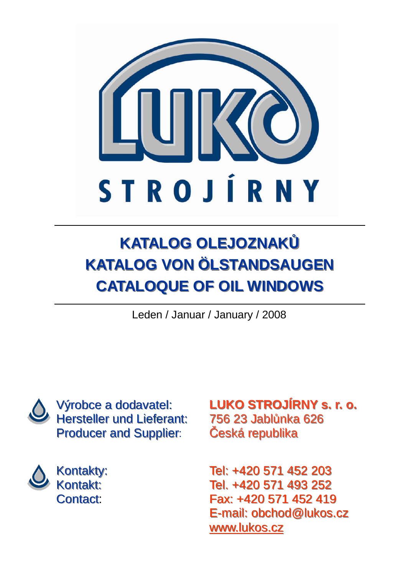

# **KATALOG OLEJOZNAKģ KATALOG VON ÖLSTANDSAUGEN CATALOQUE OF OIL WINDOWS**

Leden / Januar / January / 2008



Výrobce a dodavatel: Hersteller und Lieferant: Producer and Supplier:



Kontakty: Kontakt: Contact:

**LUKO STROJÍRNY s. r. o. LUKO STROJÍRNY s. r. o.** 756 23 Jablůnka 626 Česká republika

Tel: +420 571 452 203 Tel. +420 571 493 252 Fax: +420 571 452 419 E-mail: [obchod@lukos.cz](mailto:obchod@lukos.cz) [www.lukos.cz](http://www.lukos.cz/)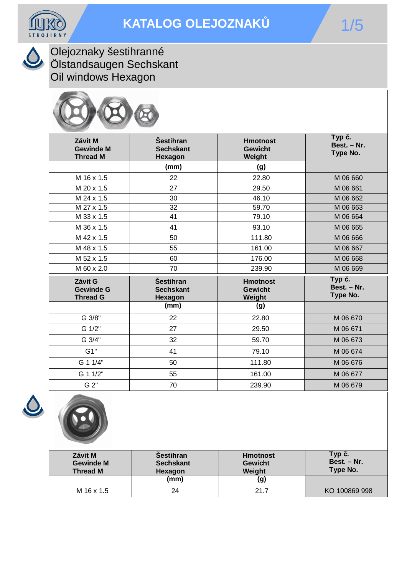



Olejoznaky šestihranné Ölstandsaugen Sechskant Oil windows Hexagon



| Závit M<br><b>Gewinde M</b><br><b>Thread M</b> | <b>Šestihran</b><br><b>Sechskant</b><br>Hexagon | <b>Hmotnost</b><br><b>Gewicht</b><br>Weight | Typ č.<br>Best. - Nr.<br>Type No. |  |
|------------------------------------------------|-------------------------------------------------|---------------------------------------------|-----------------------------------|--|
|                                                | (mm)                                            | (g)                                         |                                   |  |
| M 16 x 1.5                                     | 22                                              | 22.80                                       | M 06 660                          |  |
| M 20 x 1.5                                     | 27                                              | 29.50                                       | M 06 661                          |  |
| M 24 x 1.5                                     | 30                                              | 46.10                                       | M 06 662                          |  |
| M 27 x 1.5                                     | $\overline{32}$                                 | 59.70                                       | M 06 663                          |  |
| M 33 x 1.5                                     | 41                                              | 79.10                                       | M 06 664                          |  |
| M 36 x 1.5                                     | 41                                              | 93.10                                       | M 06 665                          |  |
| M 42 x 1.5                                     | 50                                              | 111.80                                      | M 06 666                          |  |
| M 48 x 1.5                                     | 55                                              | 161.00                                      | M 06 667                          |  |
| M 52 x 1.5                                     | 60                                              | 176.00                                      | M 06 668                          |  |
| M 60 x 2.0                                     | 70                                              | 239.90                                      | M 06 669                          |  |
| Závit G<br><b>Gewinde G</b><br><b>Thread G</b> | <b>Šestihran</b><br><b>Sechskant</b><br>Hexagon | <b>Hmotnost</b><br><b>Gewicht</b><br>Weight | Typ č.<br>Best. - Nr.<br>Type No. |  |
|                                                | $\overline{\text{(mm)}}$                        | (g)                                         |                                   |  |
| G 3/8"                                         | 22                                              | 22.80                                       | M 06 670                          |  |
| G 1/2"                                         | 27                                              | 29.50                                       | M 06 671                          |  |
| G 3/4"                                         | 32                                              | 59.70                                       | M 06 673                          |  |
| G1"                                            | 41                                              | 79.10                                       | M 06 674                          |  |
| G 1 1/4"                                       | 50                                              | 111.80                                      | M 06 676                          |  |
| G 1 1/2"                                       | 55                                              | 161.00                                      | M 06 677                          |  |
| G 2"                                           | 70                                              | 239.90                                      | M 06 679                          |  |





| Závit M<br><b>Gewinde M</b><br><b>Thread M</b> | <b>Sestihran</b><br><b>Sechskant</b><br>Hexagon | <b>Hmotnost</b><br><b>Gewicht</b><br>Weight | Typ č.<br>Best. - Nr.<br>Type No. |
|------------------------------------------------|-------------------------------------------------|---------------------------------------------|-----------------------------------|
|                                                | (mm)                                            | (g)                                         |                                   |
| M 16 x 1.5                                     | 24                                              | 21.7                                        | KO 100869 998                     |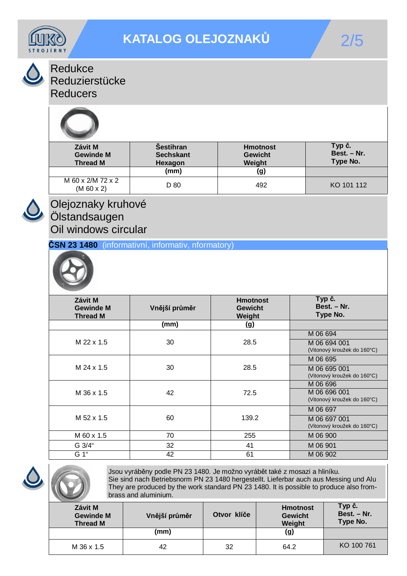

Redukce

Reduzierstücke

**Reducers** 



| Závit M<br><b>Gewinde M</b><br><b>Thread M</b> | <b>Sestihran</b><br><b>Sechskant</b><br><b>Hexagon</b> | <b>Hmotnost</b><br><b>Gewicht</b><br>Weight | Typ č.<br>Best. - Nr.<br>Type No. |
|------------------------------------------------|--------------------------------------------------------|---------------------------------------------|-----------------------------------|
|                                                | (mm)                                                   | (g)                                         |                                   |
| M 60 x 2/M 72 x 2<br>(M 60 x 2)                | D 80                                                   | 492                                         | KO 101 112                        |



### Olejoznaky kruhové Ölstandsaugen Oil windows circular

**ýSN 23 1480** (informativní, informativ, nformatory)



| Závit M<br><b>Gewinde M</b><br><b>Thread M</b> | Vnější průměr | <b>Hmotnost</b><br><b>Gewicht</b><br>Weight | Typ č.<br>Best. - Nr.<br>Type No.           |
|------------------------------------------------|---------------|---------------------------------------------|---------------------------------------------|
|                                                | (mm)          | (g)                                         |                                             |
|                                                |               |                                             | M 06 694                                    |
| M 22 x 1.5                                     | 30            | 28.5                                        | M 06 694 001<br>(Vitonový kroužek do 160°C) |
|                                                |               |                                             | M 06 695                                    |
| M 24 x 1.5                                     | 30            | 28.5                                        | M 06 695 001<br>(Vitonový kroužek do 160°C) |
|                                                |               |                                             | M 06 696                                    |
| M 36 x 1.5                                     | 42            | 72.5                                        | M 06 696 001<br>(Vitonový kroužek do 160°C) |
|                                                |               |                                             | M 06 697                                    |
| M 52 x 1.5                                     | 60            | 139.2                                       | M 06 697 001<br>(Vitonový kroužek do 160°C) |
| M 60 x 1.5                                     | 70            | 255                                         | M 06 900                                    |
| G 3/4"                                         | 32            | 41                                          | M 06 901                                    |
| G 1"                                           | 42            | 61                                          | M 06 902                                    |



Jsou vyráběny podle PN 23 1480. Je možno vyrábět také z mosazi a hliníku. Sie sind nach Betriebsnorm PN 23 1480 hergestellt. Lieferbar auch aus Messing und Alu They are produced by the work standard PN 23 1480. It is possible to produce also frombrass and aluminium.

| Závit M<br><b>Gewinde M</b><br><b>Thread M</b> | Vnější průměr | Otvor klíče | <b>Hmotnost</b><br><b>Gewicht</b><br>Weight | Typ č.<br>Best. - Nr.<br><b>Type No.</b> |
|------------------------------------------------|---------------|-------------|---------------------------------------------|------------------------------------------|
|                                                | (mm)          |             | (g)                                         |                                          |
| M 36 x 1.5                                     | 42            | 32          | 64.2                                        | KO 100 761                               |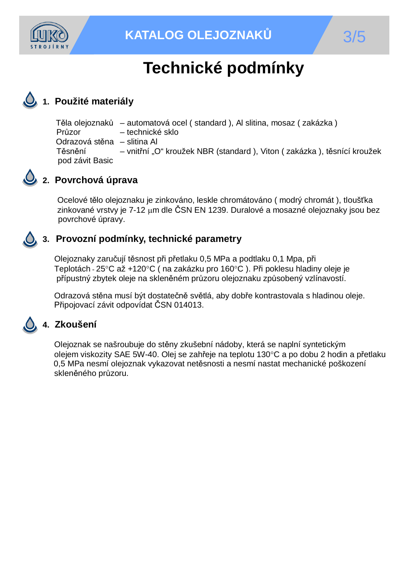

## **1. Použité materiály**

Těla olejoznaků – automatová ocel ( standard ), Al slitina, mosaz ( zakázka ) Průzor – technické sklo Odrazová stěna – slitina Al Těsnění – vnitřní "O" kroužek NBR (standard), Viton (zakázka), těsnící kroužek pod závit Basic



#### **2. Povrchová úprava**

Ocelové tělo olejoznaku je zinkováno, leskle chromátováno ( modrý chromát ), tloušťka zinkované vrstvy je 7-12 µm dle ČSN EN 1239. Duralové a mosazné olejoznaky jsou bez povrchové úpravy.

### **3. Provozní podmínky, technické parametry**

Olejoznaky zaručují těsnost při přetlaku 0,5 MPa a podtlaku 0,1 Mpa, při Teplotách - 25°C až +120°C ( na zakázku pro 160°C ). Při poklesu hladiny oleje je přípustný zbytek oleje na skleněném průzoru olejoznaku způsobený vzlínavostí.

Odrazová stěna musí být dostatečně světlá, aby dobře kontrastovala s hladinou oleje. Připojovací závit odpovídat ČSN 014013.

#### **4. Zkoušení**

Olejoznak se našroubuje do stěny zkušební nádoby, která se naplní syntetickým olejem viskozity SAE 5W-40. Olej se zahřeje na teplotu 130°C a po dobu 2 hodin a přetlaku 0,5 MPa nesmí olejoznak vykazovat netěsnosti a nesmí nastat mechanické poškození skleněného průzoru.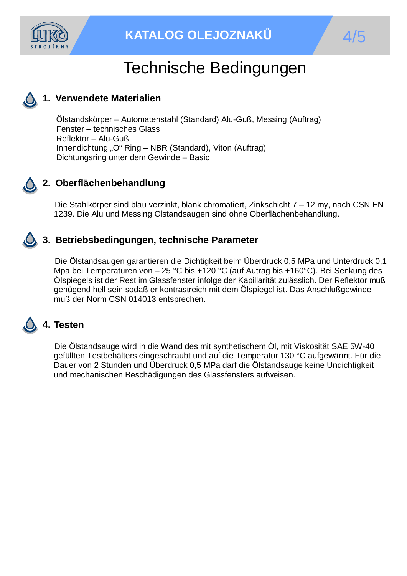

## Technische Bedingungen

#### **1. Verwendete Materialien**

Ölstandskörper – Automatenstahl (Standard) Alu-Guß, Messing (Auftrag) Fenster – technisches Glass Reflektor – Alu-Guß Innendichtung "O" Ring – NBR (Standard), Viton (Auftrag) Dichtungsring unter dem Gewinde – Basic



#### **2. Oberflächenbehandlung**

Die Stahlkörper sind blau verzinkt, blank chromatiert, Zinkschicht 7 – 12 my, nach CSN EN 1239. Die Alu und Messing Ölstandsaugen sind ohne Oberflächenbehandlung.

#### **3. Betriebsbedingungen, technische Parameter**

Die Ölstandsaugen garantieren die Dichtigkeit beim Überdruck 0,5 MPa und Unterdruck 0,1 Mpa bei Temperaturen von – 25 °C bis +120 °C (auf Autrag bis +160°C). Bei Senkung des Ölspiegels ist der Rest im Glassfenster infolge der Kapillarität zulässlich. Der Reflektor muß genügend hell sein sodaß er kontrastreich mit dem Ölspiegel ist. Das Anschlußgewinde muß der Norm CSN 014013 entsprechen.

## **4. Testen**

Die Ölstandsauge wird in die Wand des mit synthetischem Öl, mit Viskosität SAE 5W-40 gefüllten Testbehälters eingeschraubt und auf die Temperatur 130 °C aufgewärmt. Für die Dauer von 2 Stunden und Überdruck 0,5 MPa darf die Ölstandsauge keine Undichtigkeit und mechanischen Beschädigungen des Glassfensters aufweisen.